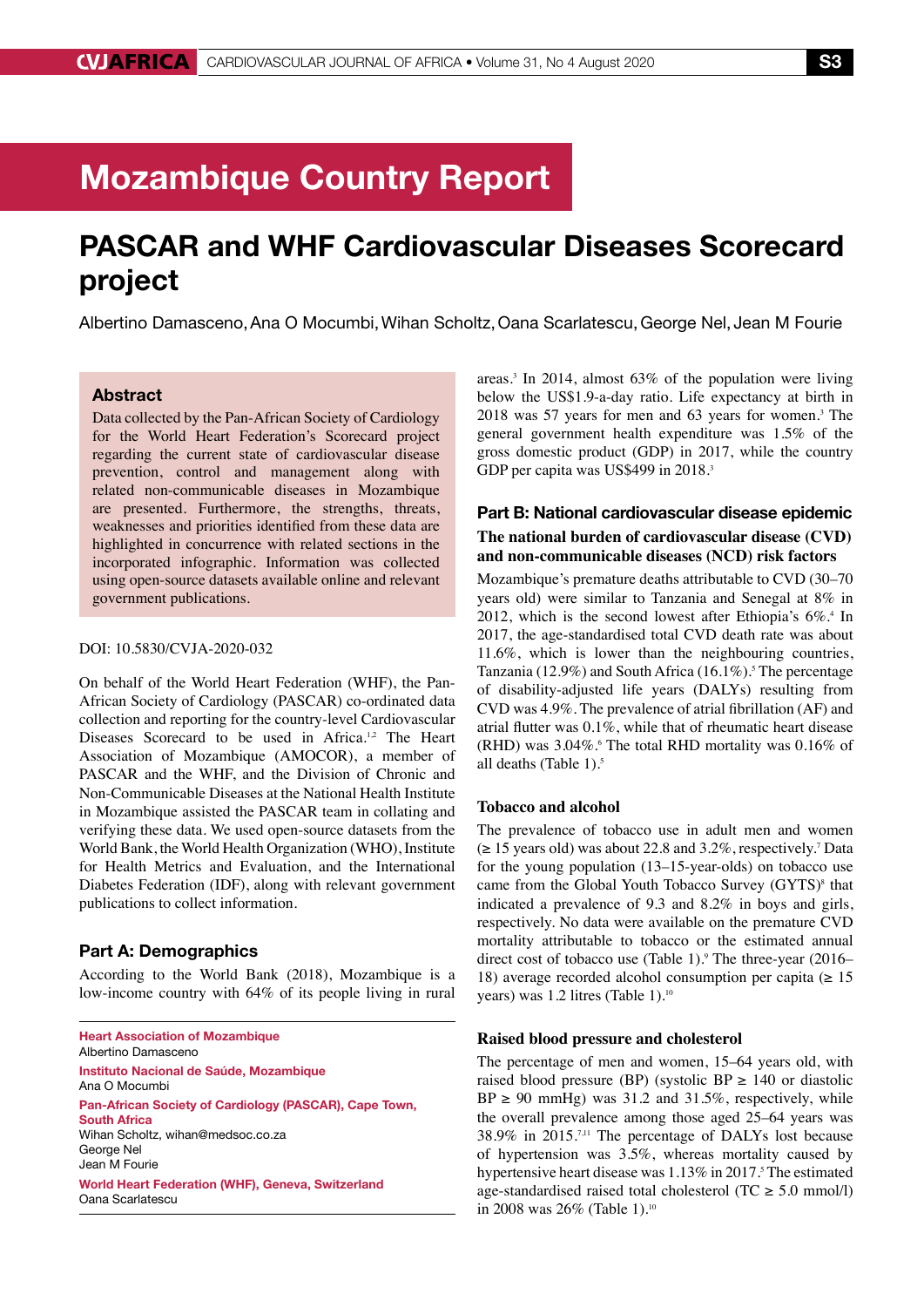# Mozambique Country Report

# PASCAR and WHF Cardiovascular Diseases Scorecard project

Albertino Damasceno,Ana O Mocumbi,Wihan Scholtz,Oana Scarlatescu,George Nel, Jean M Fourie

# Abstract

Data collected by the Pan-African Society of Cardiology for the World Heart Federation's Scorecard project regarding the current state of cardiovascular disease prevention, control and management along with related non-communicable diseases in Mozambique are presented. Furthermore, the strengths, threats, weaknesses and priorities identified from these data are highlighted in concurrence with related sections in the incorporated infographic. Information was collected using open-source datasets available online and relevant government publications.

#### DOI: 10.5830/CVJA-2020-032

On behalf of the World Heart Federation (WHF), the Pan-African Society of Cardiology (PASCAR) co-ordinated data collection and reporting for the country-level Cardiovascular Diseases Scorecard to be used in Africa.<sup>1,2</sup> The Heart Association of Mozambique (AMOCOR), a member of PASCAR and the WHF, and the Division of Chronic and Non-Communicable Diseases at the National Health Institute in Mozambique assisted the PASCAR team in collating and verifying these data. We used open-source datasets from the World Bank, the World Health Organization (WHO), Institute for Health Metrics and Evaluation, and the International Diabetes Federation (IDF), along with relevant government publications to collect information.

## Part A: Demographics

According to the World Bank (2018), Mozambique is a low-income country with 64% of its people living in rural

Heart Association of Mozambique Albertino Damasceno Instituto Nacional de Saúde, Mozambique Ana O Mocumbi Pan-African Society of Cardiology (PASCAR), Cape Town, South Africa Wihan Scholtz, wihan@medsoc.co.za George Nel Jean M Fourie World Heart Federation (WHF), Geneva, Switzerland Oana Scarlatescu

areas.3 In 2014, almost 63% of the population were living below the US\$1.9-a-day ratio. Life expectancy at birth in 2018 was 57 years for men and 63 years for women.3 The general government health expenditure was 1.5% of the gross domestic product (GDP) in 2017, while the country GDP per capita was US\$499 in 2018.<sup>3</sup>

# Part B: National cardiovascular disease epidemic **The national burden of cardiovascular disease (CVD) and non-communicable diseases (NCD) risk factors**

Mozambique's premature deaths attributable to CVD (30–70 years old) were similar to Tanzania and Senegal at 8% in 2012, which is the second lowest after Ethiopia's  $6\%$ <sup>4</sup> In 2017, the age-standardised total CVD death rate was about 11.6%, which is lower than the neighbouring countries, Tanzania (12.9%) and South Africa  $(16.1\%)$ . The percentage of disability-adjusted life years (DALYs) resulting from CVD was 4.9%. The prevalence of atrial fibrillation (AF) and atrial flutter was 0.1%, while that of rheumatic heart disease  $(RHD)$  was 3.04%.<sup>6</sup> The total RHD mortality was 0.16% of all deaths (Table 1).<sup>5</sup>

# **Tobacco and alcohol**

The prevalence of tobacco use in adult men and women  $(\geq 15 \text{ years old})$  was about 22.8 and 3.2%, respectively.<sup>7</sup> Data for the young population (13–15-year-olds) on tobacco use came from the Global Youth Tobacco Survey (GYTS)<sup>8</sup> that indicated a prevalence of 9.3 and 8.2% in boys and girls, respectively. No data were available on the premature CVD mortality attributable to tobacco or the estimated annual direct cost of tobacco use (Table 1).<sup>9</sup> The three-year (2016– 18) average recorded alcohol consumption per capita ( $\geq 15$ years) was 1.2 litres (Table 1).<sup>10</sup>

#### **Raised blood pressure and cholesterol**

The percentage of men and women, 15–64 years old, with raised blood pressure (BP) (systolic BP  $\geq$  140 or diastolic  $BP \ge 90$  mmHg) was 31.2 and 31.5%, respectively, while the overall prevalence among those aged 25–64 years was 38.9% in 2015.7,11 The percentage of DALYs lost because of hypertension was 3.5%, whereas mortality caused by hypertensive heart disease was 1.13% in 2017.<sup>5</sup> The estimated age-standardised raised total cholesterol (TC  $\geq$  5.0 mmol/l) in 2008 was 26% (Table 1).<sup>10</sup>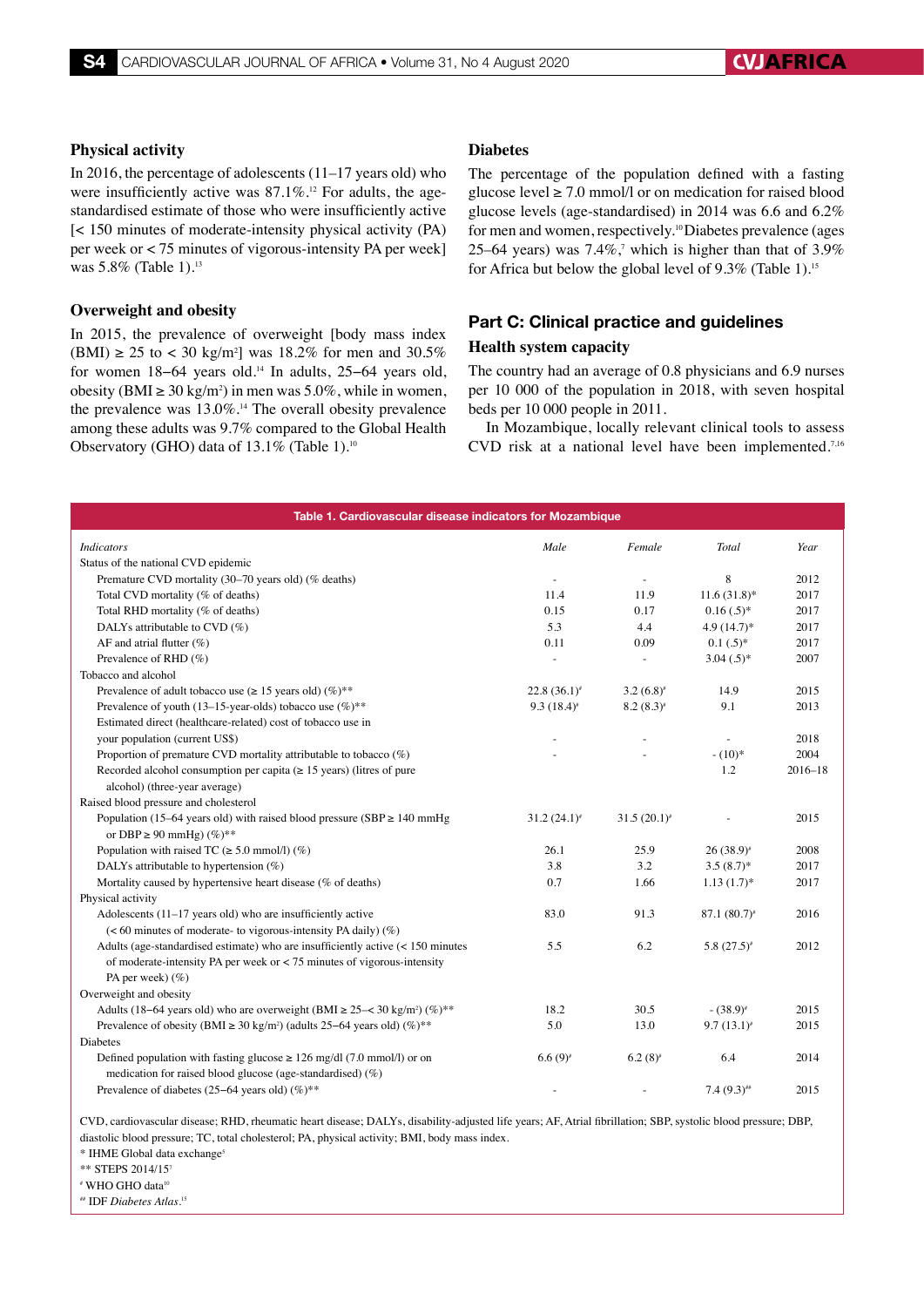# **Physical activity**

In 2016, the percentage of adolescents (11–17 years old) who were insufficiently active was  $87.1\%$ .<sup>12</sup> For adults, the agestandardised estimate of those who were insufficiently active [< 150 minutes of moderate-intensity physical activity (PA) per week or < 75 minutes of vigorous-intensity PA per week] was 5.8% (Table 1).<sup>13</sup>

### **Overweight and obesity**

In 2015, the prevalence of overweight [body mass index  $(BMI) \ge 25$  to < 30 kg/m<sup>2</sup>] was 18.2% for men and 30.5% for women 18−64 years old.14 In adults, 25−64 years old, obesity (BMI ≥ 30 kg/m<sup>2</sup>) in men was 5.0%, while in women, the prevalence was  $13.0\%$ .<sup>14</sup> The overall obesity prevalence among these adults was 9.7% compared to the Global Health Observatory (GHO) data of 13.1% (Table 1).<sup>10</sup>

## **Diabetes**

The percentage of the population defined with a fasting glucose level  $\geq 7.0$  mmol/l or on medication for raised blood glucose levels (age-standardised) in 2014 was 6.6 and 6.2% for men and women, respectively.10 Diabetes prevalence (ages 25–64 years) was  $7.4\%$ , which is higher than that of  $3.9\%$ for Africa but below the global level of 9.3% (Table 1).15

# Part C: Clinical practice and guidelines

# **Health system capacity**

The country had an average of 0.8 physicians and 6.9 nurses per 10 000 of the population in 2018, with seven hospital beds per 10 000 people in 2011.

In Mozambique, locally relevant clinical tools to assess CVD risk at a national level have been implemented.7,16

| Table 1. Cardiovascular disease indicators for Mozambique                                                  |                  |                  |                 |             |
|------------------------------------------------------------------------------------------------------------|------------------|------------------|-----------------|-------------|
| <b>Indicators</b>                                                                                          | Male             | Female           | Total           | Year        |
| Status of the national CVD epidemic                                                                        |                  |                  |                 |             |
| Premature CVD mortality (30–70 years old) (% deaths)                                                       |                  |                  | 8               | 2012        |
| Total CVD mortality (% of deaths)                                                                          | 11.4             | 11.9             | $11.6(31.8)$ *  | 2017        |
| Total RHD mortality (% of deaths)                                                                          | 0.15             | 0.17             | $0.16(0.5)*$    | 2017        |
| DALYs attributable to CVD $(\%)$                                                                           | 5.3              | 4.4              | $4.9(14.7)$ *   | 2017        |
| AF and atrial flutter $(\%)$                                                                               | 0.11             | 0.09             | $0.1(.5)^*$     | 2017        |
| Prevalence of RHD (%)                                                                                      | ÷,               |                  | $3.04(.5)^*$    | 2007        |
| Tobacco and alcohol                                                                                        |                  |                  |                 |             |
| Prevalence of adult tobacco use ( $\geq 15$ years old) (%)**                                               | $22.8(36.1)^{*}$ | $3.2(6.8)^{*}$   | 14.9            | 2015        |
| Prevalence of youth (13–15-year-olds) tobacco use $(\%)^{**}$                                              | 9.3(18.4)        | $8.2(8.3)$ *     | 9.1             | 2013        |
| Estimated direct (healthcare-related) cost of tobacco use in                                               |                  |                  |                 |             |
| your population (current US\$)                                                                             |                  |                  |                 | 2018        |
| Proportion of premature CVD mortality attributable to tobacco $(\%)$                                       |                  |                  | $- (10)^*$      | 2004        |
| Recorded alcohol consumption per capita ( $\geq$ 15 years) (litres of pure                                 |                  |                  | 1.2             | $2016 - 18$ |
| alcohol) (three-year average)                                                                              |                  |                  |                 |             |
| Raised blood pressure and cholesterol                                                                      |                  |                  |                 |             |
| Population (15-64 years old) with raised blood pressure (SBP $\geq$ 140 mmHg                               | $31.2(24.1)^{*}$ | $31.5(20.1)^{*}$ |                 | 2015        |
| or DBP $\geq$ 90 mmHg) $(\%)**$                                                                            |                  |                  |                 |             |
| Population with raised TC ( $\geq$ 5.0 mmol/l) (%)                                                         | 26.1             | 25.9             | $26(38.9)^{*}$  | 2008        |
| DALYs attributable to hypertension $(\%)$                                                                  | 3.8              | 3.2              | $3.5(8.7)$ *    | 2017        |
| Mortality caused by hypertensive heart disease (% of deaths)                                               | 0.7              | 1.66             | $1.13(1.7)$ *   | 2017        |
| Physical activity                                                                                          |                  |                  |                 |             |
| Adolescents $(11-17$ years old) who are insufficiently active                                              | 83.0             | 91.3             | $87.1(80.7)^*$  | 2016        |
| (< 60 minutes of moderate- to vigorous-intensity PA daily) $(\%)$                                          |                  |                  |                 |             |
| Adults (age-standardised estimate) who are insufficiently active $(< 150$ minutes                          | 5.5              | 6.2              | 5.8 $(27.5)^*$  | 2012        |
| of moderate-intensity PA per week or $<$ 75 minutes of vigorous-intensity                                  |                  |                  |                 |             |
| PA per week $)$ (%)                                                                                        |                  |                  |                 |             |
| Overweight and obesity                                                                                     |                  |                  |                 |             |
| Adults (18–64 years old) who are overweight (BMI $\geq$ 25– $\lt$ 30 kg/m <sup>2</sup> ) (%) <sup>**</sup> | 18.2             | 30.5             | $-(38.9)^{*}$   | 2015        |
| Prevalence of obesity (BMI $\geq$ 30 kg/m <sup>2</sup> ) (adults 25–64 years old) (%)**                    | 5.0              | 13.0             | $9.7(13.1)^{*}$ | 2015        |
| Diabetes                                                                                                   |                  |                  |                 |             |
| Defined population with fasting glucose $\geq 126$ mg/dl (7.0 mmol/l) or on                                | $6.6(9)^{*}$     | $6.2(8)^{*}$     | 6.4             | 2014        |
| medication for raised blood glucose (age-standardised) (%)                                                 |                  |                  |                 |             |
| Prevalence of diabetes (25–64 years old) $(\%)^{**}$                                                       |                  |                  | $7.4(9.3)$ ##   | 2015        |

CVD, cardiovascular disease; RHD, rheumatic heart disease; DALYs, disability-adjusted life years; AF, Atrial fibrillation; SBP, systolic blood pressure; DBP, diastolic blood pressure; TC, total cholesterol; PA, physical activity; BMI, body mass index.

\* IHME Global data exchange<sup>5</sup>

\*\* STEPS 2014/157

# WHO GHO data10

## IDF *Diabetes Atlas*. 15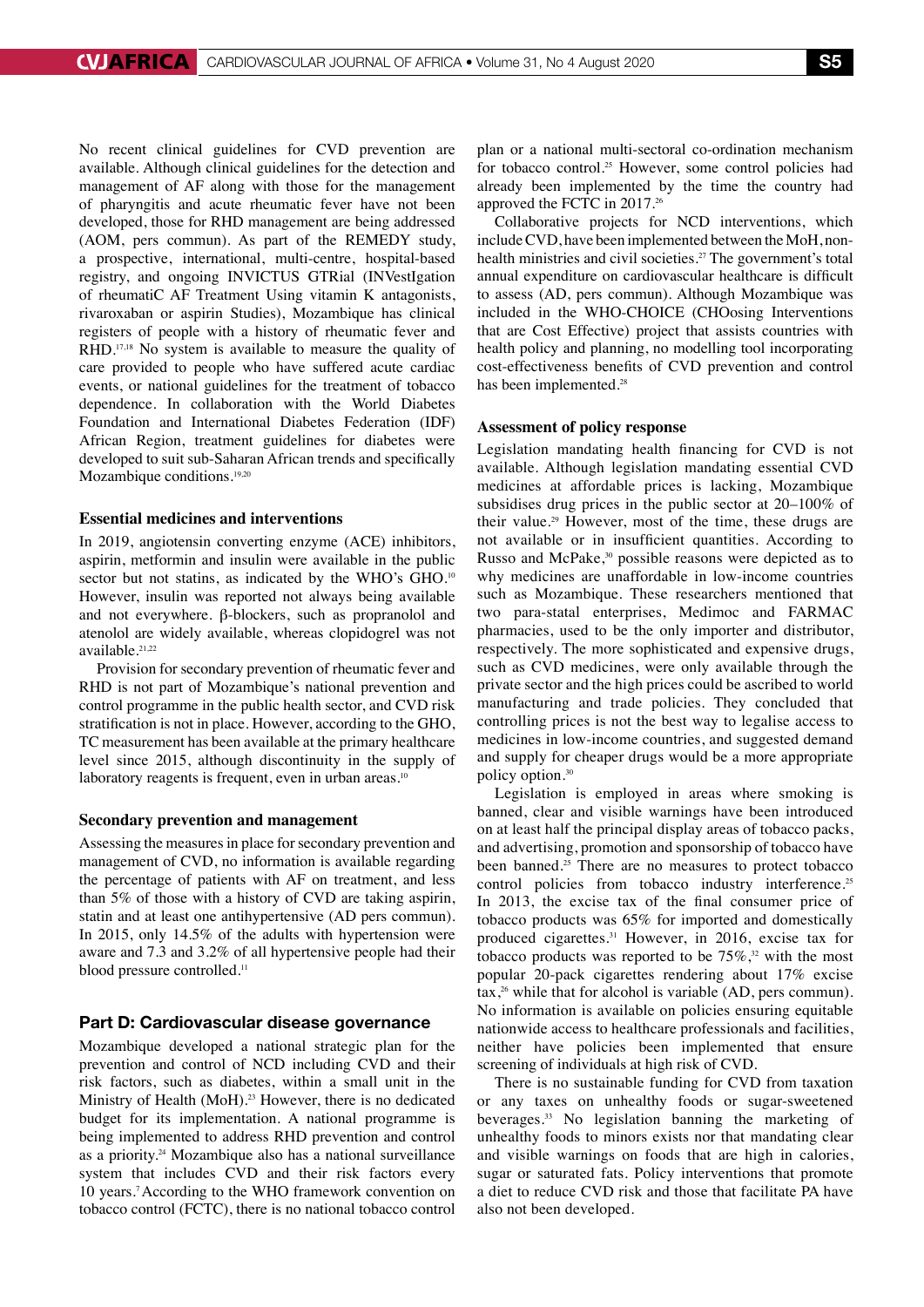No recent clinical guidelines for CVD prevention are available. Although clinical guidelines for the detection and management of AF along with those for the management of pharyngitis and acute rheumatic fever have not been developed, those for RHD management are being addressed (AOM, pers commun). As part of the REMEDY study, a prospective, international, multi-centre, hospital-based registry, and ongoing INVICTUS GTRial (INVestIgation of rheumatiC AF Treatment Using vitamin K antagonists, rivaroxaban or aspirin Studies), Mozambique has clinical registers of people with a history of rheumatic fever and RHD.17,18 No system is available to measure the quality of care provided to people who have suffered acute cardiac events, or national guidelines for the treatment of tobacco dependence. In collaboration with the World Diabetes Foundation and International Diabetes Federation (IDF) African Region, treatment guidelines for diabetes were developed to suit sub-Saharan African trends and specifically Mozambique conditions.<sup>19,20</sup>

## **Essential medicines and interventions**

In 2019, angiotensin converting enzyme (ACE) inhibitors, aspirin, metformin and insulin were available in the public sector but not statins, as indicated by the WHO's GHO.<sup>10</sup> However, insulin was reported not always being available and not everywhere.  $\beta$ -blockers, such as propranolol and atenolol are widely available, whereas clopidogrel was not available.21,22

Provision for secondary prevention of rheumatic fever and RHD is not part of Mozambique's national prevention and control programme in the public health sector, and CVD risk stratification is not in place. However, according to the GHO, TC measurement has been available at the primary healthcare level since 2015, although discontinuity in the supply of laboratory reagents is frequent, even in urban areas.<sup>10</sup>

#### **Secondary prevention and management**

Assessing the measures in place for secondary prevention and management of CVD, no information is available regarding the percentage of patients with AF on treatment, and less than 5% of those with a history of CVD are taking aspirin, statin and at least one antihypertensive (AD pers commun). In 2015, only 14.5% of the adults with hypertension were aware and 7.3 and 3.2% of all hypertensive people had their blood pressure controlled.<sup>11</sup>

#### Part D: Cardiovascular disease governance

Mozambique developed a national strategic plan for the prevention and control of NCD including CVD and their risk factors, such as diabetes, within a small unit in the Ministry of Health (MoH).<sup>23</sup> However, there is no dedicated budget for its implementation. A national programme is being implemented to address RHD prevention and control as a priority.24 Mozambique also has a national surveillance system that includes CVD and their risk factors every 10 years.7 According to the WHO framework convention on tobacco control (FCTC), there is no national tobacco control plan or a national multi-sectoral co-ordination mechanism for tobacco control.<sup>25</sup> However, some control policies had already been implemented by the time the country had approved the FCTC in 2017.26

Collaborative projects for NCD interventions, which include CVD, have been implemented between the MoH, nonhealth ministries and civil societies.<sup>27</sup> The government's total annual expenditure on cardiovascular healthcare is difficult to assess (AD, pers commun). Although Mozambique was included in the WHO-CHOICE (CHOosing Interventions that are Cost Effective) project that assists countries with health policy and planning, no modelling tool incorporating cost-effectiveness benefits of CVD prevention and control has been implemented.<sup>28</sup>

## **Assessment of policy response**

Legislation mandating health financing for CVD is not available. Although legislation mandating essential CVD medicines at affordable prices is lacking, Mozambique subsidises drug prices in the public sector at 20–100% of their value.29 However, most of the time, these drugs are not available or in insufficient quantities. According to Russo and McPake,<sup>30</sup> possible reasons were depicted as to why medicines are unaffordable in low-income countries such as Mozambique. These researchers mentioned that two para-statal enterprises, Medimoc and FARMAC pharmacies, used to be the only importer and distributor, respectively. The more sophisticated and expensive drugs, such as CVD medicines, were only available through the private sector and the high prices could be ascribed to world manufacturing and trade policies. They concluded that controlling prices is not the best way to legalise access to medicines in low-income countries, and suggested demand and supply for cheaper drugs would be a more appropriate policy option.30

Legislation is employed in areas where smoking is banned, clear and visible warnings have been introduced on at least half the principal display areas of tobacco packs, and advertising, promotion and sponsorship of tobacco have been banned.<sup>25</sup> There are no measures to protect tobacco control policies from tobacco industry interference.<sup>25</sup> In 2013, the excise tax of the final consumer price of tobacco products was 65% for imported and domestically produced cigarettes.<sup>31</sup> However, in 2016, excise tax for tobacco products was reported to be  $75\%$ ,<sup>32</sup> with the most popular 20-pack cigarettes rendering about 17% excise  $\text{tax},^{26}$  while that for alcohol is variable (AD, pers commun). No information is available on policies ensuring equitable nationwide access to healthcare professionals and facilities, neither have policies been implemented that ensure screening of individuals at high risk of CVD.

There is no sustainable funding for CVD from taxation or any taxes on unhealthy foods or sugar-sweetened beverages.33 No legislation banning the marketing of unhealthy foods to minors exists nor that mandating clear and visible warnings on foods that are high in calories, sugar or saturated fats. Policy interventions that promote a diet to reduce CVD risk and those that facilitate PA have also not been developed.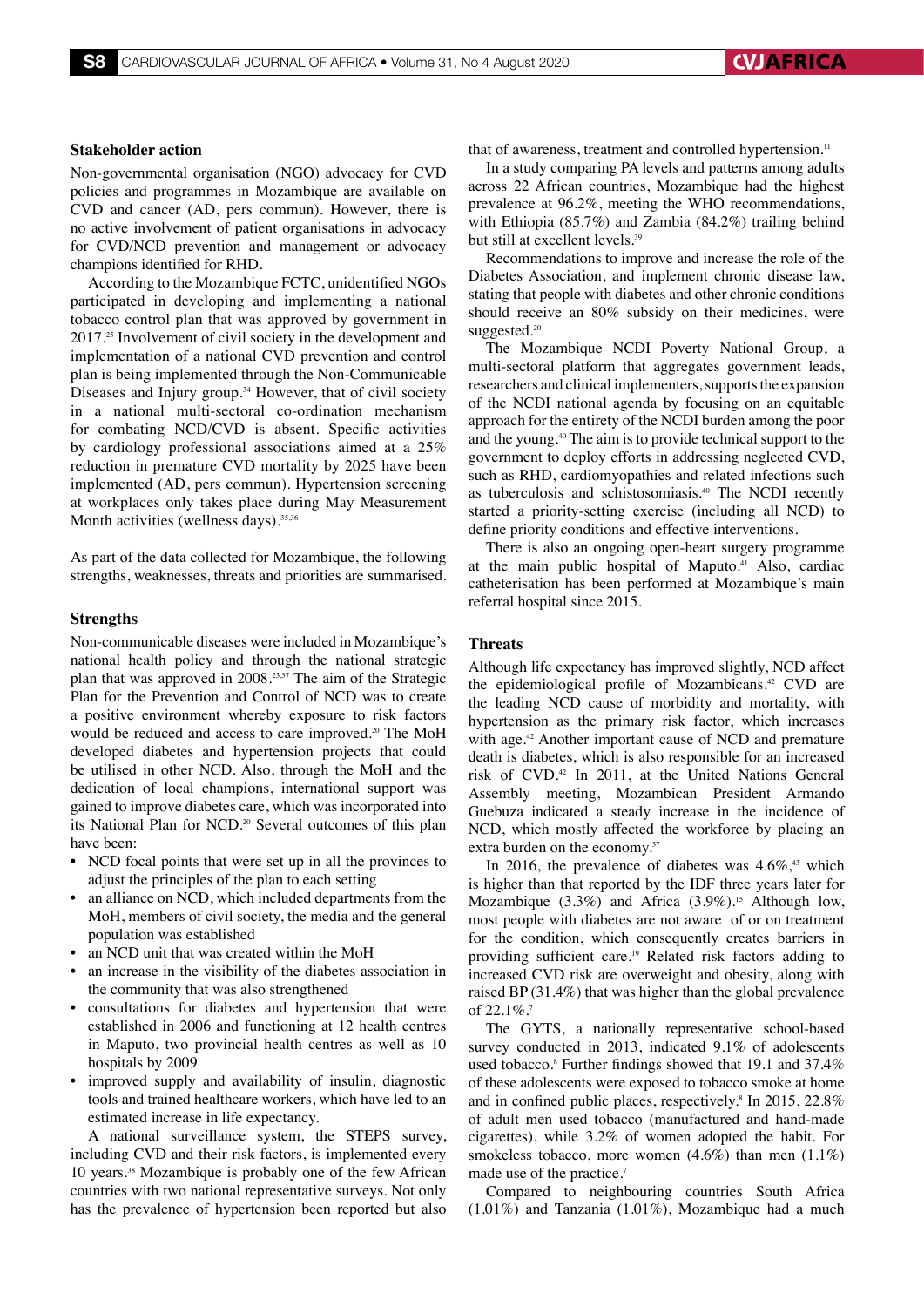#### **Stakeholder action**

Non-governmental organisation (NGO) advocacy for CVD policies and programmes in Mozambique are available on CVD and cancer (AD, pers commun). However, there is no active involvement of patient organisations in advocacy for CVD/NCD prevention and management or advocacy champions identified for RHD.

According to the Mozambique FCTC, unidentified NGOs participated in developing and implementing a national tobacco control plan that was approved by government in 2017.25 Involvement of civil society in the development and implementation of a national CVD prevention and control plan is being implemented through the Non-Communicable Diseases and Injury group.34 However, that of civil society in a national multi-sectoral co-ordination mechanism for combating NCD/CVD is absent. Specific activities by cardiology professional associations aimed at a 25% reduction in premature CVD mortality by 2025 have been implemented (AD, pers commun). Hypertension screening at workplaces only takes place during May Measurement Month activities (wellness days).<sup>35,36</sup>

As part of the data collected for Mozambique, the following strengths, weaknesses, threats and priorities are summarised.

#### **Strengths**

Non-communicable diseases were included in Mozambique's national health policy and through the national strategic plan that was approved in 2008.23,37 The aim of the Strategic Plan for the Prevention and Control of NCD was to create a positive environment whereby exposure to risk factors would be reduced and access to care improved.<sup>20</sup> The MoH developed diabetes and hypertension projects that could be utilised in other NCD. Also, through the MoH and the dedication of local champions, international support was gained to improve diabetes care, which was incorporated into its National Plan for NCD.<sup>20</sup> Several outcomes of this plan have been:

- NCD focal points that were set up in all the provinces to adjust the principles of the plan to each setting
- an alliance on NCD, which included departments from the MoH, members of civil society, the media and the general population was established
- an NCD unit that was created within the MoH
- an increase in the visibility of the diabetes association in the community that was also strengthened
- consultations for diabetes and hypertension that were established in 2006 and functioning at 12 health centres in Maputo, two provincial health centres as well as 10 hospitals by 2009
- improved supply and availability of insulin, diagnostic tools and trained healthcare workers, which have led to an estimated increase in life expectancy.

A national surveillance system, the STEPS survey, including CVD and their risk factors, is implemented every 10 years.38 Mozambique is probably one of the few African countries with two national representative surveys. Not only has the prevalence of hypertension been reported but also

that of awareness, treatment and controlled hypertension.<sup>11</sup>

In a study comparing PA levels and patterns among adults across 22 African countries, Mozambique had the highest prevalence at 96.2%, meeting the WHO recommendations, with Ethiopia (85.7%) and Zambia (84.2%) trailing behind but still at excellent levels.<sup>39</sup>

Recommendations to improve and increase the role of the Diabetes Association, and implement chronic disease law, stating that people with diabetes and other chronic conditions should receive an 80% subsidy on their medicines, were suggested.<sup>20</sup>

The Mozambique NCDI Poverty National Group, a multi-sectoral platform that aggregates government leads, researchers and clinical implementers, supports the expansion of the NCDI national agenda by focusing on an equitable approach for the entirety of the NCDI burden among the poor and the young.40 The aim is to provide technical support to the government to deploy efforts in addressing neglected CVD, such as RHD, cardiomyopathies and related infections such as tuberculosis and schistosomiasis.<sup>40</sup> The NCDI recently started a priority-setting exercise (including all NCD) to define priority conditions and effective interventions.

There is also an ongoing open-heart surgery programme at the main public hospital of Maputo.<sup>41</sup> Also, cardiac catheterisation has been performed at Mozambique's main referral hospital since 2015.

#### **Threats**

Although life expectancy has improved slightly, NCD affect the epidemiological profile of Mozambicans.<sup>42</sup> CVD are the leading NCD cause of morbidity and mortality, with hypertension as the primary risk factor, which increases with age.<sup>42</sup> Another important cause of NCD and premature death is diabetes, which is also responsible for an increased risk of CVD.42 In 2011, at the United Nations General Assembly meeting, Mozambican President Armando Guebuza indicated a steady increase in the incidence of NCD, which mostly affected the workforce by placing an extra burden on the economy.<sup>37</sup>

In 2016, the prevalence of diabetes was  $4.6\%$ ,<sup>43</sup> which is higher than that reported by the IDF three years later for Mozambique  $(3.3\%)$  and Africa  $(3.9\%)$ .<sup>15</sup> Although low, most people with diabetes are not aware of or on treatment for the condition, which consequently creates barriers in providing sufficient care.19 Related risk factors adding to increased CVD risk are overweight and obesity, along with raised BP (31.4%) that was higher than the global prevalence of 22.1%.<sup>7</sup>

The GYTS, a nationally representative school-based survey conducted in 2013, indicated 9.1% of adolescents used tobacco.8 Further findings showed that 19.1 and 37.4% of these adolescents were exposed to tobacco smoke at home and in confined public places, respectively.<sup>8</sup> In 2015, 22.8% of adult men used tobacco (manufactured and hand-made cigarettes), while 3.2% of women adopted the habit. For smokeless tobacco, more women (4.6%) than men (1.1%) made use of the practice.<sup>7</sup>

Compared to neighbouring countries South Africa (1.01%) and Tanzania (1.01%), Mozambique had a much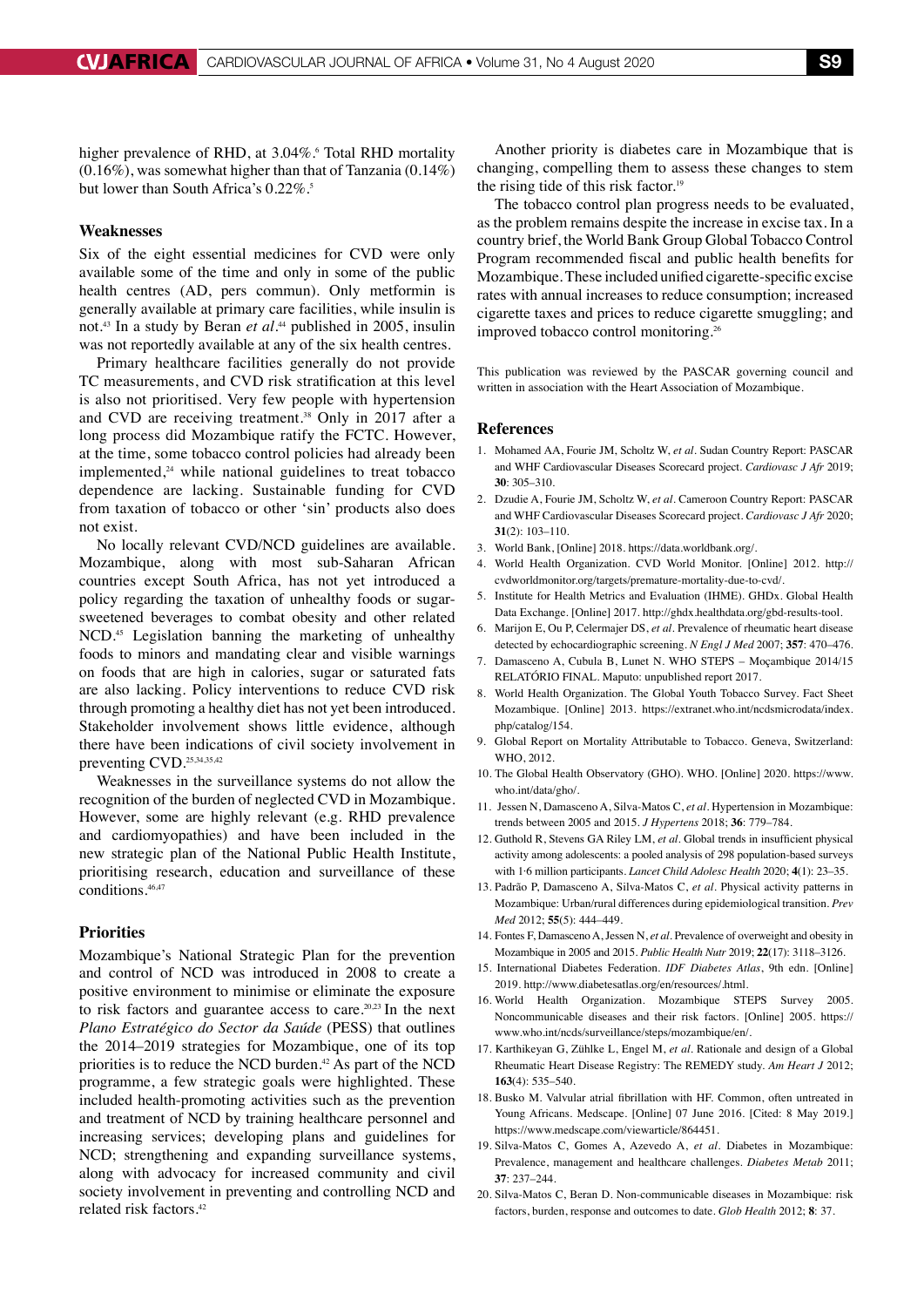higher prevalence of RHD, at 3.04%. Total RHD mortality (0.16%), was somewhat higher than that of Tanzania (0.14%) but lower than South Africa's 0.22%.<sup>5</sup>

# **Weaknesses**

Six of the eight essential medicines for CVD were only available some of the time and only in some of the public health centres (AD, pers commun). Only metformin is generally available at primary care facilities, while insulin is not.43 In a study by Beran *et al.*44 published in 2005, insulin was not reportedly available at any of the six health centres.

Primary healthcare facilities generally do not provide TC measurements, and CVD risk stratification at this level is also not prioritised. Very few people with hypertension and CVD are receiving treatment.<sup>38</sup> Only in 2017 after a long process did Mozambique ratify the FCTC. However, at the time, some tobacco control policies had already been implemented, $24$  while national guidelines to treat tobacco dependence are lacking. Sustainable funding for CVD from taxation of tobacco or other 'sin' products also does not exist.

No locally relevant CVD/NCD guidelines are available. Mozambique, along with most sub-Saharan African countries except South Africa, has not yet introduced a policy regarding the taxation of unhealthy foods or sugarsweetened beverages to combat obesity and other related NCD.45 Legislation banning the marketing of unhealthy foods to minors and mandating clear and visible warnings on foods that are high in calories, sugar or saturated fats are also lacking. Policy interventions to reduce CVD risk through promoting a healthy diet has not yet been introduced. Stakeholder involvement shows little evidence, although there have been indications of civil society involvement in preventing CVD.<sup>25,34,35,42</sup>

Weaknesses in the surveillance systems do not allow the recognition of the burden of neglected CVD in Mozambique. However, some are highly relevant (e.g. RHD prevalence and cardiomyopathies) and have been included in the new strategic plan of the National Public Health Institute, prioritising research, education and surveillance of these conditions.46,47

#### **Priorities**

Mozambique's National Strategic Plan for the prevention and control of NCD was introduced in 2008 to create a positive environment to minimise or eliminate the exposure to risk factors and guarantee access to care.<sup>20,23</sup> In the next *Plano Estratégico do Sector da Saúde* (PESS) that outlines the 2014–2019 strategies for Mozambique, one of its top priorities is to reduce the NCD burden.<sup>42</sup> As part of the NCD programme, a few strategic goals were highlighted. These included health-promoting activities such as the prevention and treatment of NCD by training healthcare personnel and increasing services; developing plans and guidelines for NCD; strengthening and expanding surveillance systems, along with advocacy for increased community and civil society involvement in preventing and controlling NCD and related risk factors.42

Another priority is diabetes care in Mozambique that is changing, compelling them to assess these changes to stem the rising tide of this risk factor.19

The tobacco control plan progress needs to be evaluated, as the problem remains despite the increase in excise tax. In a country brief, the World Bank Group Global Tobacco Control Program recommended fiscal and public health benefits for Mozambique. These included unified cigarette-specific excise rates with annual increases to reduce consumption; increased cigarette taxes and prices to reduce cigarette smuggling; and improved tobacco control monitoring.<sup>26</sup>

This publication was reviewed by the PASCAR governing council and written in association with the Heart Association of Mozambique.

#### **References**

- 1. Mohamed AA, Fourie JM, Scholtz W, *et al.* Sudan Country Report: PASCAR and WHF Cardiovascular Diseases Scorecard project. *Cardiovasc J Afr* 2019; **30**: 305–310.
- 2. Dzudie A, Fourie JM, Scholtz W, *et al.* Cameroon Country Report: PASCAR and WHF Cardiovascular Diseases Scorecard project. *Cardiovasc J Afr* 2020; **31**(2): 103–110.
- 3. World Bank, [Online] 2018. https://data.worldbank.org/.
- 4. World Health Organization. CVD World Monitor. [Online] 2012. http:// cvdworldmonitor.org/targets/premature-mortality-due-to-cvd/.
- 5. Institute for Health Metrics and Evaluation (IHME). GHDx. Global Health Data Exchange. [Online] 2017. http://ghdx.healthdata.org/gbd-results-tool.
- 6. Marijon E, Ou P, Celermajer DS, *et al.* Prevalence of rheumatic heart disease detected by echocardiographic screening. *N Engl J Med* 2007; **357**: 470–476.
- 7. Damasceno A, Cubula B, Lunet N. WHO STEPS Moçambique 2014/15 RELATÓRIO FINAL. Maputo: unpublished report 2017.
- 8. World Health Organization. The Global Youth Tobacco Survey. Fact Sheet Mozambique. [Online] 2013. https://extranet.who.int/ncdsmicrodata/index. php/catalog/154.
- 9. Global Report on Mortality Attributable to Tobacco. Geneva, Switzerland: WHO, 2012.
- 10. The Global Health Observatory (GHO). WHO. [Online] 2020. https://www. who.int/data/gho/.
- 11. Jessen N, Damasceno A, Silva-Matos C, *et al.* Hypertension in Mozambique: trends between 2005 and 2015. *J Hypertens* 2018; **36**: 779–784.
- 12. Guthold R, Stevens GA Riley LM, *et al.* Global trends in insufficient physical activity among adolescents: a pooled analysis of 298 population-based surveys with 1·6 million participants. *Lancet Child Adolesc Health* 2020; **4**(1): 23–35.
- 13. Padrão P, Damasceno A, Silva-Matos C, *et al.* Physical activity patterns in Mozambique: Urban/rural differences during epidemiological transition. *Prev Med* 2012; **55**(5): 444–449.
- 14. Fontes F, Damasceno A, Jessen N, *et al.* Prevalence of overweight and obesity in Mozambique in 2005 and 2015. *Public Health Nutr* 2019; **22**(17): 3118–3126.
- 15. International Diabetes Federation. *IDF Diabetes Atlas*, 9th edn. [Online] 2019. http://www.diabetesatlas.org/en/resources/.html.
- 16. World Health Organization. Mozambique STEPS Survey 2005. Noncommunicable diseases and their risk factors. [Online] 2005. https:// www.who.int/ncds/surveillance/steps/mozambique/en/.
- 17. Karthikeyan G, Zühlke L, Engel M, *et al.* Rationale and design of a Global Rheumatic Heart Disease Registry: The REMEDY study. *Am Heart J* 2012; **163**(4): 535–540.
- 18. Busko M. Valvular atrial fibrillation with HF. Common, often untreated in Young Africans. Medscape. [Online] 07 June 2016. [Cited: 8 May 2019.] https://www.medscape.com/viewarticle/864451.
- 19. Silva-Matos C, Gomes A, Azevedo A, *et al.* Diabetes in Mozambique: Prevalence, management and healthcare challenges. *Diabetes Metab* 2011; **37**: 237–244.
- 20. Silva-Matos C, Beran D. Non-communicable diseases in Mozambique: risk factors, burden, response and outcomes to date. *Glob Health* 2012; **8**: 37.